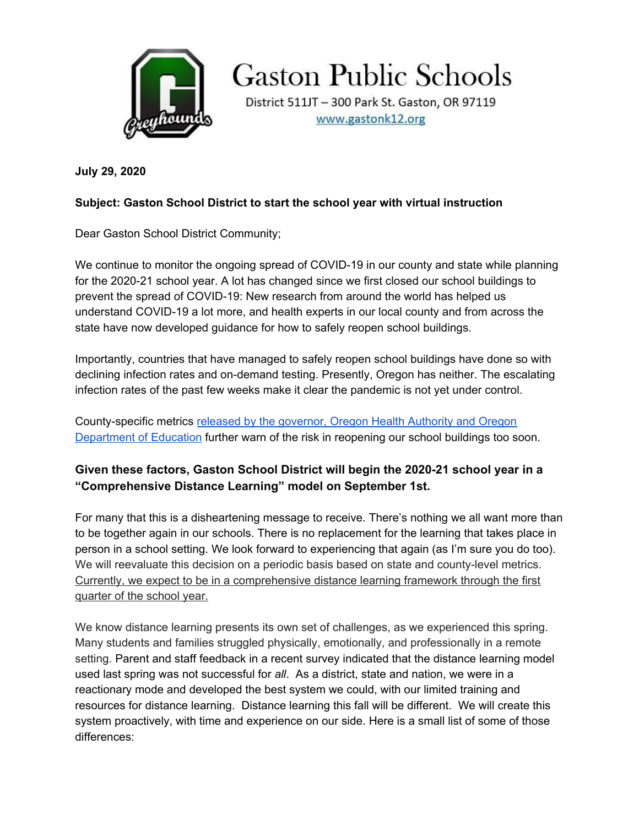

**Gaston Public Schools** 

District 511JT - 300 Park St. Gaston, OR 97119 www.gastonk12.org

**July 29, 2020**

## **Subject: Gaston School District to start the school year with virtual instruction**

Dear Gaston School District Community;

We continue to monitor the ongoing spread of COVID-19 in our county and state while planning for the 2020-21 school year. A lot has changed since we first closed our school buildings to prevent the spread of COVID-19: New research from around the world has helped us understand COVID-19 a lot more, and health experts in our local county and from across the state have now developed guidance for how to safely reopen school buildings.

Importantly, countries that have managed to safely reopen school buildings have done so with declining infection rates and on-demand testing. Presently, Oregon has neither. The escalating infection rates of the past few weeks make it clear the pandemic is not yet under control.

County-specific metrics released by the [governor,](https://www.oregon.gov/oha/PH/DISEASESCONDITIONS/DISEASESAZ/Emerging%20Respitory%20Infections/Ready-Schools-Safe-Learners-Community-COVID-19-Metrics.pdf) Oregon Health Authority and Oregon [Department](https://www.oregon.gov/oha/PH/DISEASESCONDITIONS/DISEASESAZ/Emerging%20Respitory%20Infections/Ready-Schools-Safe-Learners-Community-COVID-19-Metrics.pdf) of Education further warn of the risk in reopening our school buildings too soon.

## **Given these factors, Gaston School District will begin the 2020-21 school year in a "Comprehensive Distance Learning" model on September 1st.**

For many that this is a disheartening message to receive. There's nothing we all want more than to be together again in our schools. There is no replacement for the learning that takes place in person in a school setting. We look forward to experiencing that again (as I'm sure you do too). We will reevaluate this decision on a periodic basis based on state and county-level metrics. Currently, we expect to be in a comprehensive distance learning framework through the first quarter of the school year.

We know distance learning presents its own set of challenges, as we experienced this spring. Many students and families struggled physically, emotionally, and professionally in a remote setting. Parent and staff feedback in a recent survey indicated that the distance learning model used last spring was not successful for *all*. As a district, state and nation, we were in a reactionary mode and developed the best system we could, with our limited training and resources for distance learning. Distance learning this fall will be different. We will create this system proactively, with time and experience on our side. Here is a small list of some of those differences: